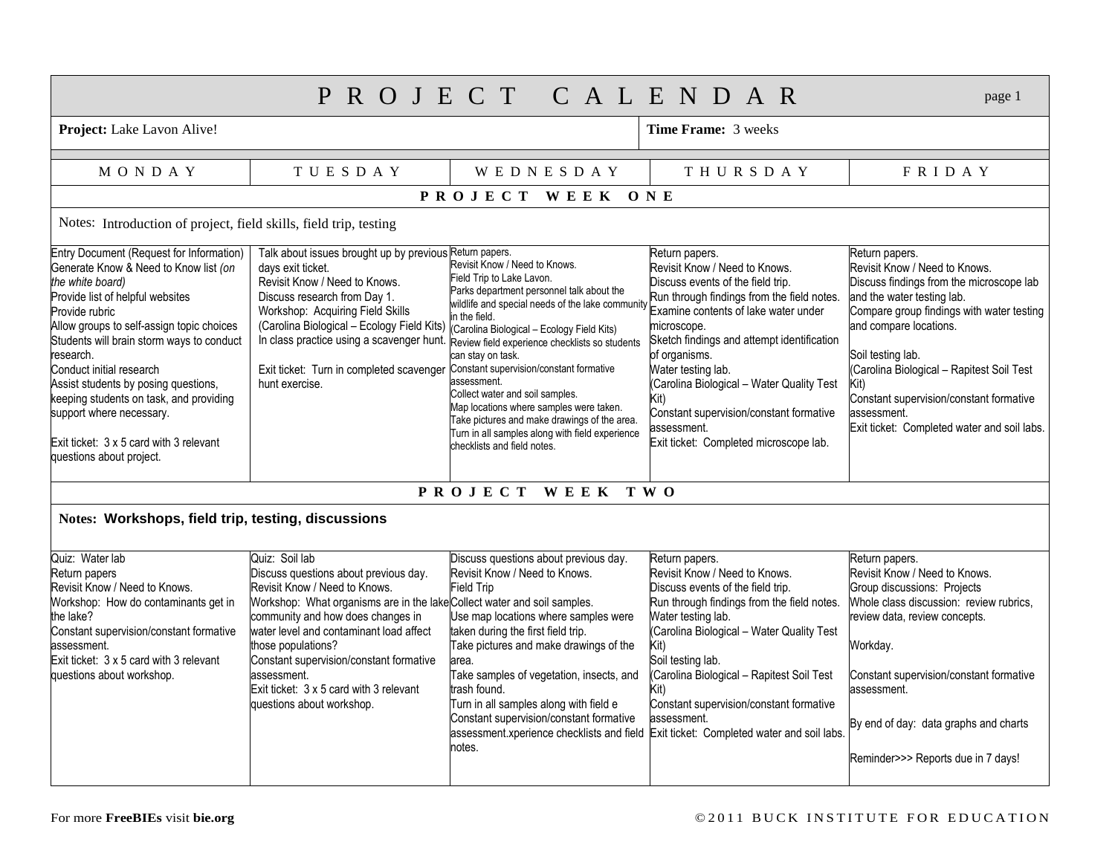| PROJECT CALENDAR<br>page 1                                                                                                                                                                                                                                                                                                                                                                                                                                                           |                                                                                                                                                                                                                                                                                                                                                                                                             |                                                                                                                                                                                                                                                                                                                                                                                                                                                                                                                                                                            |                                                                                                                                                                                                                                                                                                                                                                                                                                         |                                                                                                                                                                                                                                                                                                                                                                                     |  |  |  |  |  |
|--------------------------------------------------------------------------------------------------------------------------------------------------------------------------------------------------------------------------------------------------------------------------------------------------------------------------------------------------------------------------------------------------------------------------------------------------------------------------------------|-------------------------------------------------------------------------------------------------------------------------------------------------------------------------------------------------------------------------------------------------------------------------------------------------------------------------------------------------------------------------------------------------------------|----------------------------------------------------------------------------------------------------------------------------------------------------------------------------------------------------------------------------------------------------------------------------------------------------------------------------------------------------------------------------------------------------------------------------------------------------------------------------------------------------------------------------------------------------------------------------|-----------------------------------------------------------------------------------------------------------------------------------------------------------------------------------------------------------------------------------------------------------------------------------------------------------------------------------------------------------------------------------------------------------------------------------------|-------------------------------------------------------------------------------------------------------------------------------------------------------------------------------------------------------------------------------------------------------------------------------------------------------------------------------------------------------------------------------------|--|--|--|--|--|
| Project: Lake Lavon Alive!                                                                                                                                                                                                                                                                                                                                                                                                                                                           |                                                                                                                                                                                                                                                                                                                                                                                                             |                                                                                                                                                                                                                                                                                                                                                                                                                                                                                                                                                                            | <b>Time Frame: 3 weeks</b>                                                                                                                                                                                                                                                                                                                                                                                                              |                                                                                                                                                                                                                                                                                                                                                                                     |  |  |  |  |  |
| <b>MONDAY</b>                                                                                                                                                                                                                                                                                                                                                                                                                                                                        | <b>TUESDAY</b>                                                                                                                                                                                                                                                                                                                                                                                              | <b>WEDNESDAY</b>                                                                                                                                                                                                                                                                                                                                                                                                                                                                                                                                                           | THURSDAY                                                                                                                                                                                                                                                                                                                                                                                                                                | FRIDAY                                                                                                                                                                                                                                                                                                                                                                              |  |  |  |  |  |
| PROJECT WEEK ONE                                                                                                                                                                                                                                                                                                                                                                                                                                                                     |                                                                                                                                                                                                                                                                                                                                                                                                             |                                                                                                                                                                                                                                                                                                                                                                                                                                                                                                                                                                            |                                                                                                                                                                                                                                                                                                                                                                                                                                         |                                                                                                                                                                                                                                                                                                                                                                                     |  |  |  |  |  |
| Notes: Introduction of project, field skills, field trip, testing                                                                                                                                                                                                                                                                                                                                                                                                                    |                                                                                                                                                                                                                                                                                                                                                                                                             |                                                                                                                                                                                                                                                                                                                                                                                                                                                                                                                                                                            |                                                                                                                                                                                                                                                                                                                                                                                                                                         |                                                                                                                                                                                                                                                                                                                                                                                     |  |  |  |  |  |
| Entry Document (Request for Information)<br>Generate Know & Need to Know list (on<br>the white board)<br>Provide list of helpful websites<br>Provide rubric<br>Allow groups to self-assign topic choices<br>Students will brain storm ways to conduct<br>research.<br>Conduct initial research<br>Assist students by posing questions,<br>keeping students on task, and providing<br>support where necessary.<br>Exit ticket: 3 x 5 card with 3 relevant<br>questions about project. | Talk about issues brought up by previous Return papers.<br>days exit ticket.<br>Revisit Know / Need to Knows.<br>Discuss research from Day 1.<br>Workshop: Acquiring Field Skills<br>(Carolina Biological - Ecology Field Kits)<br>Exit ticket: Turn in completed scavenger Constant supervision/constant formative<br>hunt exercise.                                                                       | Revisit Know / Need to Knows.<br>Field Trip to Lake Lavon.<br>Parks department personnel talk about the<br>wildlife and special needs of the lake community<br>in the field.<br>(Carolina Biological - Ecology Field Kits)<br>In class practice using a scavenger hunt. Review field experience checklists so students<br>can stay on task.<br>assessment.<br>Collect water and soil samples.<br>Map locations where samples were taken.<br>Take pictures and make drawings of the area.<br>Turn in all samples along with field experience<br>checklists and field notes. | Return papers.<br>Revisit Know / Need to Knows.<br>Discuss events of the field trip.<br>Run through findings from the field notes.<br>Examine contents of lake water under<br>microscope.<br>Sketch findings and attempt identification<br>of organisms.<br>Water testing lab.<br>(Carolina Biological - Water Quality Test<br>Kit)<br>Constant supervision/constant formative<br>assessment.<br>Exit ticket: Completed microscope lab. | Return papers.<br>Revisit Know / Need to Knows.<br>Discuss findings from the microscope lab<br>and the water testing lab.<br>Compare group findings with water testing<br>and compare locations.<br>Soil testing lab.<br>(Carolina Biological - Rapitest Soil Test<br>Kit)<br>Constant supervision/constant formative<br>assessment.<br>Exit ticket: Completed water and soil labs. |  |  |  |  |  |
|                                                                                                                                                                                                                                                                                                                                                                                                                                                                                      |                                                                                                                                                                                                                                                                                                                                                                                                             | <b>PROJECT</b><br><b>WEEK</b>                                                                                                                                                                                                                                                                                                                                                                                                                                                                                                                                              | T W O                                                                                                                                                                                                                                                                                                                                                                                                                                   |                                                                                                                                                                                                                                                                                                                                                                                     |  |  |  |  |  |
| Notes: Workshops, field trip, testing, discussions                                                                                                                                                                                                                                                                                                                                                                                                                                   |                                                                                                                                                                                                                                                                                                                                                                                                             |                                                                                                                                                                                                                                                                                                                                                                                                                                                                                                                                                                            |                                                                                                                                                                                                                                                                                                                                                                                                                                         |                                                                                                                                                                                                                                                                                                                                                                                     |  |  |  |  |  |
| Quiz: Water lab<br>Return papers<br>Revisit Know / Need to Knows.<br>Workshop: How do contaminants get in<br>the lake?<br>Constant supervision/constant formative<br>assessment.<br>Exit ticket: $3 \times 5$ card with 3 relevant<br>questions about workshop.                                                                                                                                                                                                                      | Quiz: Soil lab<br>Discuss questions about previous day.<br>Revisit Know / Need to Knows.<br>Workshop: What organisms are in the lakeCollect water and soil samples.<br>community and how does changes in<br>water level and contaminant load affect<br>those populations?<br>Constant supervision/constant formative<br>assessment.<br>Exit ticket: 3 x 5 card with 3 relevant<br>questions about workshop. | Discuss questions about previous day.<br>Revisit Know / Need to Knows.<br>Field Trip<br>Use map locations where samples were<br>taken during the first field trip.<br>Take pictures and make drawings of the<br>area.<br>Take samples of vegetation, insects, and<br>trash found.<br>Turn in all samples along with field e<br>Constant supervision/constant formative<br>assessment.xperience checklists and field Exit ticket: Completed water and soil labs.<br>notes.                                                                                                  | Return papers.<br>Revisit Know / Need to Knows.<br>Discuss events of the field trip.<br>Run through findings from the field notes.<br>Water testing lab.<br>(Carolina Biological - Water Quality Test<br>Kit)<br>Soil testing lab.<br>(Carolina Biological - Rapitest Soil Test<br>Kit)<br>Constant supervision/constant formative<br>assessment.                                                                                       | Return papers.<br>Revisit Know / Need to Knows.<br>Group discussions: Projects<br>Whole class discussion: review rubrics,<br>review data, review concepts.<br>Workday.<br>Constant supervision/constant formative<br>assessment.<br>By end of day: data graphs and charts<br>Reminder>>> Reports due in 7 days!                                                                     |  |  |  |  |  |